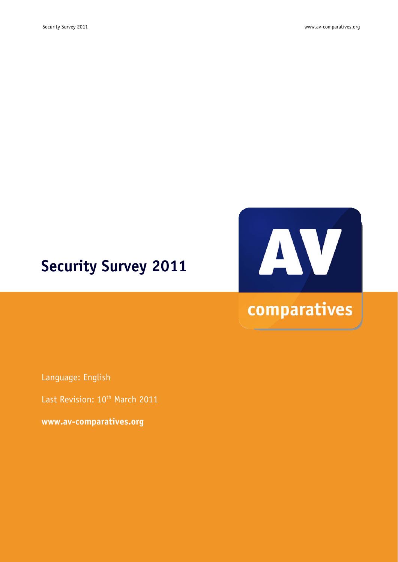# **Security Survey 2011**



Language: English

Last Revision: 10<sup>th</sup> March 2011

**www.av-comparatives.org**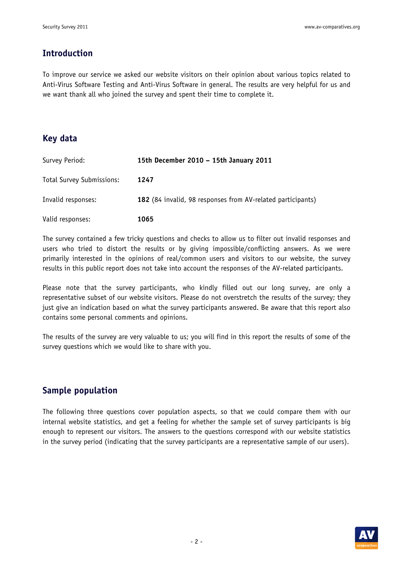## **Introduction**

To improve our service we asked our website visitors on their opinion about various topics related to Anti-Virus Software Testing and Anti-Virus Software in general. The results are very helpful for us and we want thank all who joined the survey and spent their time to complete it.

## **Key data**

| Survey Period:                   | 15th December 2010 - 15th January 2011                      |
|----------------------------------|-------------------------------------------------------------|
| <b>Total Survey Submissions:</b> | 1247                                                        |
| Invalid responses:               | 182 (84 invalid, 98 responses from AV-related participants) |
| Valid responses:                 | 1065                                                        |

The survey contained a few tricky questions and checks to allow us to filter out invalid responses and users who tried to distort the results or by giving impossible/conflicting answers. As we were primarily interested in the opinions of real/common users and visitors to our website, the survey results in this public report does not take into account the responses of the AV-related participants.

Please note that the survey participants, who kindly filled out our long survey, are only a representative subset of our website visitors. Please do not overstretch the results of the survey; they just give an indication based on what the survey participants answered. Be aware that this report also contains some personal comments and opinions.

The results of the survey are very valuable to us; you will find in this report the results of some of the survey questions which we would like to share with you.

## **Sample population**

The following three questions cover population aspects, so that we could compare them with our internal website statistics, and get a feeling for whether the sample set of survey participants is big enough to represent our visitors. The answers to the questions correspond with our website statistics in the survey period (indicating that the survey participants are a representative sample of our users).

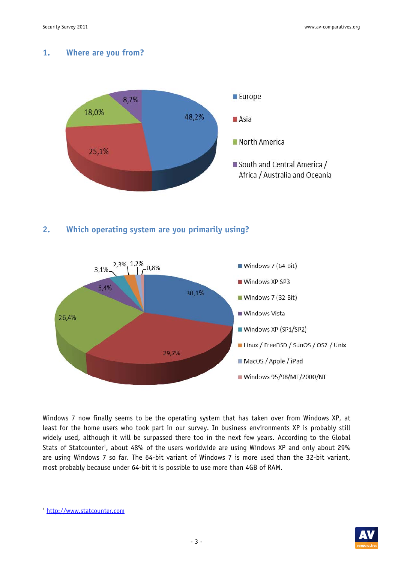#### **1. Where are you from?**



**2. Which operating system are you primarily using?** 



Windows 7 now finally seems to be the operating system that has taken over from Windows XP, at least for the home users who took part in our survey. In business environments XP is probably still widely used, although it will be surpassed there too in the next few years. According to the Global Stats of Statcounter<sup>1</sup>, about 48% of the users worldwide are using Windows XP and only about 29% are using Windows 7 so far. The 64-bit variant of Windows 7 is more used than the 32-bit variant, most probably because under 64-bit it is possible to use more than 4GB of RAM.

-



<sup>1</sup> http://www.statcounter.com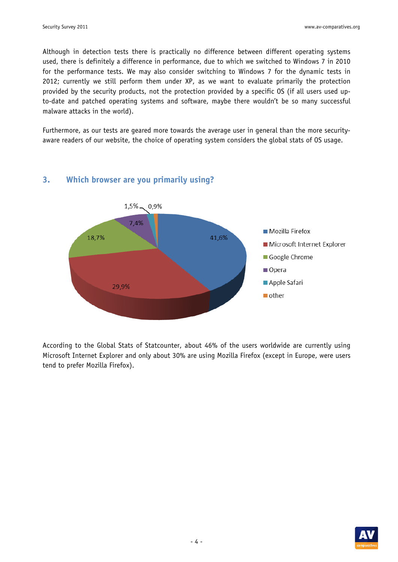Although in detection tests there is practically no difference between different operating systems used, there is definitely a difference in performance, due to which we switched to Windows 7 in 2010 for the performance tests. We may also consider switching to Windows 7 for the dynamic tests in 2012; currently we still perform them under XP, as we want to evaluate primarily the protection provided by the security products, not the protection provided by a specific OS (if all users used upto-date and patched operating systems and software, maybe there wouldn't be so many successful malware attacks in the world).

Furthermore, as our tests are geared more towards the average user in general than the more securityaware readers of our website, the choice of operating system considers the global stats of OS usage.



## **3. Which browser are you primarily using?**

According to the Global Stats of Statcounter, about 46% of the users worldwide are currently using Microsoft Internet Explorer and only about 30% are using Mozilla Firefox (except in Europe, were users tend to prefer Mozilla Firefox).

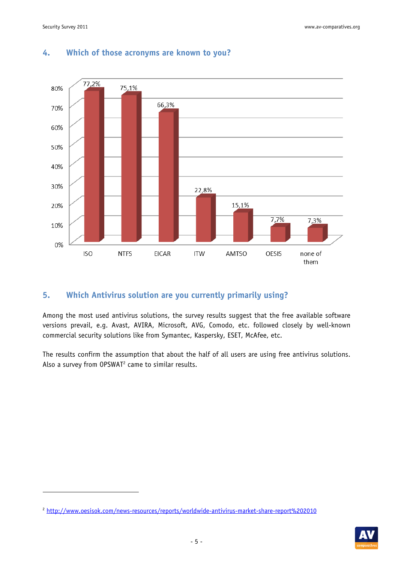-



### **4. Which of those acronyms are known to you?**

#### **5. Which Antivirus solution are you currently primarily using?**

Among the most used antivirus solutions, the survey results suggest that the free available software versions prevail, e.g. Avast, AVIRA, Microsoft, AVG, Comodo, etc. followed closely by well-known commercial security solutions like from Symantec, Kaspersky, ESET, McAfee, etc.

The results confirm the assumption that about the half of all users are using free antivirus solutions. Also a survey from  $OPSWAT<sup>2</sup>$  came to similar results.



<sup>2</sup> http://www.oesisok.com/news-resources/reports/worldwide-antivirus-market-share-report%202010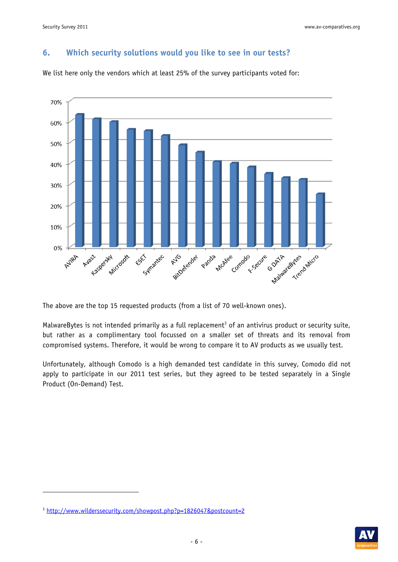## **6. Which security solutions would you like to see in our tests?**



We list here only the vendors which at least 25% of the survey participants voted for:

The above are the top 15 requested products (from a list of 70 well-known ones).

MalwareBytes is not intended primarily as a full replacement<sup>3</sup> of an antivirus product or security suite, but rather as a complimentary tool focussed on a smaller set of threats and its removal from compromised systems. Therefore, it would be wrong to compare it to AV products as we usually test.

Unfortunately, although Comodo is a high demanded test candidate in this survey, Comodo did not apply to participate in our 2011 test series, but they agreed to be tested separately in a Single Product (On-Demand) Test.

-



<sup>&</sup>lt;sup>3</sup> http://www.wilderssecurity.com/showpost.php?p=1826047&postcount=2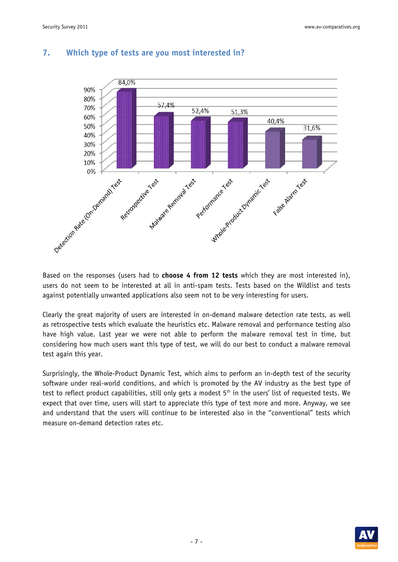

#### **7. Which type of tests are you most interested in?**

Based on the responses (users had to **choose 4 from 12 tests** which they are most interested in), users do not seem to be interested at all in anti-spam tests. Tests based on the Wildlist and tests against potentially unwanted applications also seem not to be very interesting for users.

Clearly the great majority of users are interested in on-demand malware detection rate tests, as well as retrospective tests which evaluate the heuristics etc. Malware removal and performance testing also have high value. Last year we were not able to perform the malware removal test in time, but considering how much users want this type of test, we will do our best to conduct a malware removal test again this year.

Surprisingly, the Whole-Product Dynamic Test, which aims to perform an in-depth test of the security software under real-world conditions, and which is promoted by the AV industry as the best type of test to reflect product capabilities, still only gets a modest  $5<sup>th</sup>$  in the users' list of requested tests. We expect that over time, users will start to appreciate this type of test more and more. Anyway, we see and understand that the users will continue to be interested also in the "conventional" tests which measure on-demand detection rates etc.

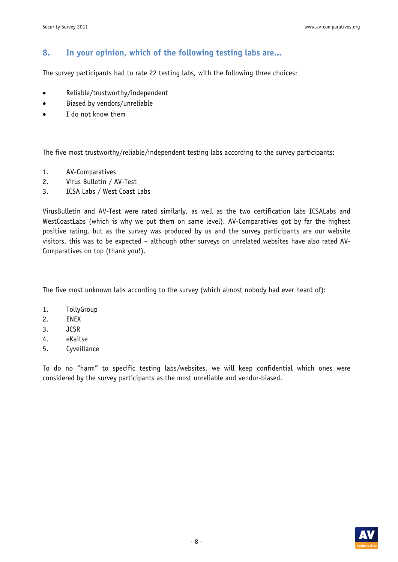# **8. In your opinion, which of the following testing labs are...**

The survey participants had to rate 22 testing labs, with the following three choices:

- Reliable/trustworthy/independent
- Biased by vendors/unreliable
- I do not know them

The five most trustworthy/reliable/independent testing labs according to the survey participants:

- 1. AV-Comparatives
- 2. Virus Bulletin / AV-Test
- 3. ICSA Labs / West Coast Labs

VirusBulletin and AV-Test were rated similarly, as well as the two certification labs ICSALabs and WestCoastLabs (which is why we put them on same level). AV-Comparatives got by far the highest positive rating, but as the survey was produced by us and the survey participants are our website visitors, this was to be expected – although other surveys on unrelated websites have also rated AV-Comparatives on top (thank you!).

The five most unknown labs according to the survey (which almost nobody had ever heard of):

- 1. TollyGroup
- 2. ENEX
- 3. JCSR
- 4. eKaitse
- 5. Cyveillance

To do no "harm" to specific testing labs/websites, we will keep confidential which ones were considered by the survey participants as the most unreliable and vendor-biased.

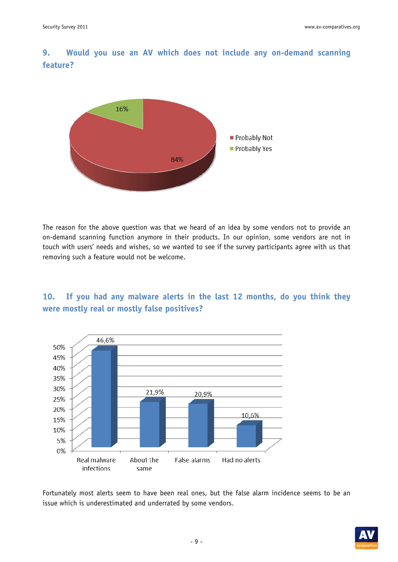**9. Would you use an AV which does not include any on-demand scanning feature?** 



The reason for the above question was that we heard of an idea by some vendors not to provide an on-demand scanning function anymore in their products. In our opinion, some vendors are not in touch with users' needs and wishes, so we wanted to see if the survey participants agree with us that removing such a feature would not be welcome.

**10. If you had any malware alerts in the last 12 months, do you think they were mostly real or mostly false positives?** 



Fortunately most alerts seem to have been real ones, but the false alarm incidence seems to be an issue which is underestimated and underrated by some vendors.

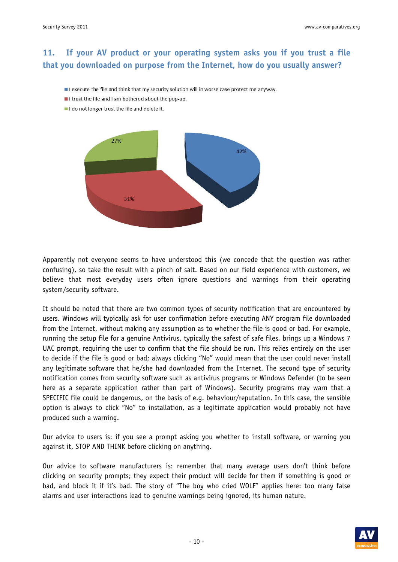# **11. If your AV product or your operating system asks you if you trust a file that you downloaded on purpose from the Internet, how do you usually answer?**

- I execute the file and think that my security solution will in worse case protect me anyway.
- I trust the file and I am bothered about the pop-up.
- I I do not longer trust the file and delete it.



Apparently not everyone seems to have understood this (we concede that the question was rather confusing), so take the result with a pinch of salt. Based on our field experience with customers, we believe that most everyday users often ignore questions and warnings from their operating system/security software.

It should be noted that there are two common types of security notification that are encountered by users. Windows will typically ask for user confirmation before executing ANY program file downloaded from the Internet, without making any assumption as to whether the file is good or bad. For example, running the setup file for a genuine Antivirus, typically the safest of safe files, brings up a Windows 7 UAC prompt, requiring the user to confirm that the file should be run. This relies entirely on the user to decide if the file is good or bad; always clicking "No" would mean that the user could never install any legitimate software that he/she had downloaded from the Internet. The second type of security notification comes from security software such as antivirus programs or Windows Defender (to be seen here as a separate application rather than part of Windows). Security programs may warn that a SPECIFIC file could be dangerous, on the basis of e.g. behaviour/reputation. In this case, the sensible option is always to click "No" to installation, as a legitimate application would probably not have produced such a warning.

Our advice to users is: if you see a prompt asking you whether to install software, or warning you against it, STOP AND THINK before clicking on anything.

Our advice to software manufacturers is: remember that many average users don't think before clicking on security prompts; they expect their product will decide for them if something is good or bad, and block it if it's bad. The story of "The boy who cried WOLF" applies here: too many false alarms and user interactions lead to genuine warnings being ignored, its human nature.

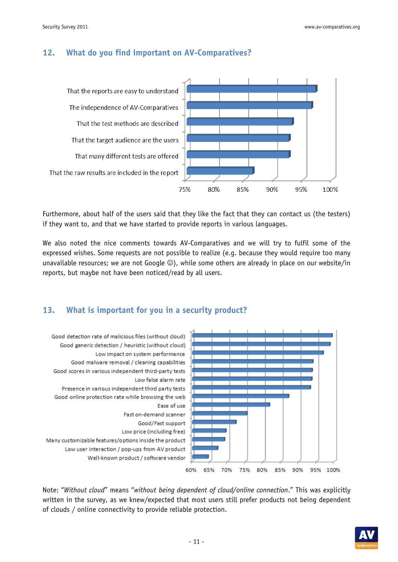#### **12. What do you find important on AV-Comparatives?**



Furthermore, about half of the users said that they like the fact that they can contact us (the testers) if they want to, and that we have started to provide reports in various languages.

We also noted the nice comments towards AV-Comparatives and we will try to fulfil some of the expressed wishes. Some requests are not possible to realize (e.g. because they would require too many unavailable resources; we are not Google  $\circledcirc$ ), while some others are already in place on our website/in reports, but maybe not have been noticed/read by all users.

#### **13. What is important for you in a security product?**



Note: "*Without cloud*" means "*without being dependent of cloud/online connection*." This was explicitly written in the survey, as we knew/expected that most users still prefer products not being dependent of clouds / online connectivity to provide reliable protection.

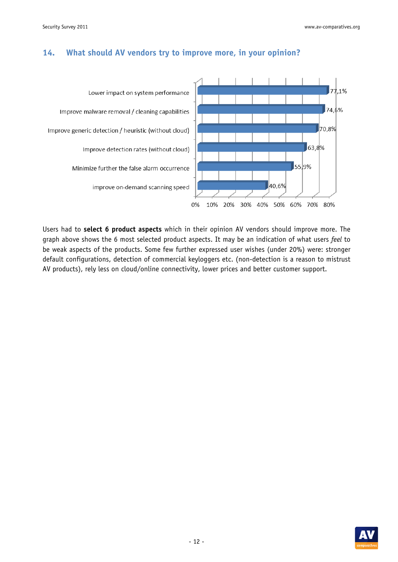

#### **14. What should AV vendors try to improve more, in your opinion?**

Users had to **select 6 product aspects** which in their opinion AV vendors should improve more. The graph above shows the 6 most selected product aspects. It may be an indication of what users *feel* to be weak aspects of the products. Some few further expressed user wishes (under 20%) were: stronger default configurations, detection of commercial keyloggers etc. (non-detection is a reason to mistrust AV products), rely less on cloud/online connectivity, lower prices and better customer support.